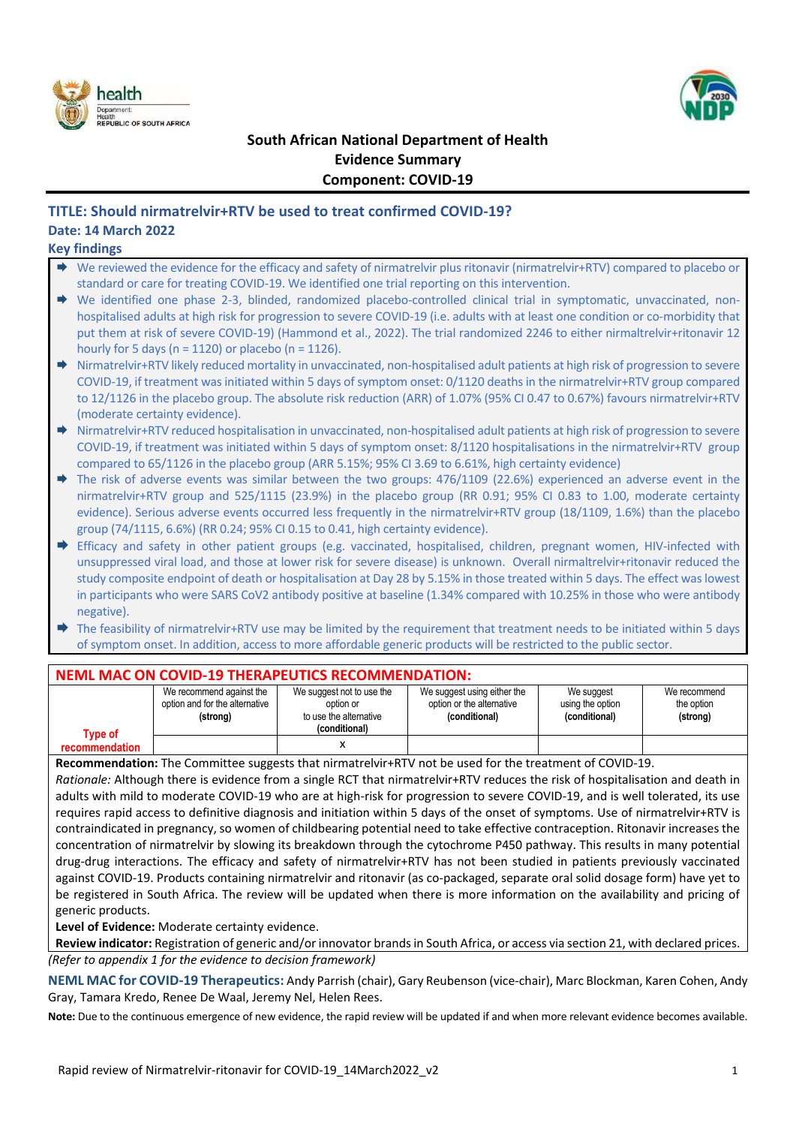



# **South African National Department of Health Evidence Summary Component: COVID-19**

# **TITLE: Should nirmatrelvir+RTV be used to treat confirmed COVID-19? Date: 14 March 2022**

#### **Key findings**

- We reviewed the evidence for the efficacy and safety of nirmatrelvir plus ritonavir (nirmatrelvir+RTV) compared to placebo or standard or care for treating COVID-19. We identified one trial reporting on this intervention.
- We identified one phase 2-3, blinded, randomized placebo-controlled clinical trial in symptomatic, unvaccinated, nonhospitalised adults at high risk for progression to severe COVID-19 (i.e. adults with at least one condition or co-morbidity that put them at risk of severe COVID-19) (Hammond et al., 2022). The trial randomized 2246 to either nirmaltrelvir+ritonavir 12 hourly for 5 days ( $n = 1120$ ) or placebo ( $n = 1126$ ).
- ◆ Nirmatrelvir+RTV likely reduced mortality in unvaccinated, non-hospitalised adult patients at high risk of progression to severe COVID-19, if treatment was initiated within 5 days of symptom onset: 0/1120 deaths in the nirmatrelvir+RTV group compared to 12/1126 in the placebo group. The absolute risk reduction (ARR) of 1.07% (95% CI 0.47 to 0.67%) favours nirmatrelvir+RTV (moderate certainty evidence).
- ♦ Nirmatrelvir+RTV reduced hospitalisation in unvaccinated, non-hospitalised adult patients at high risk of progression to severe COVID-19, if treatment was initiated within 5 days of symptom onset: 8/1120 hospitalisations in the nirmatrelvir+RTV group compared to 65/1126 in the placebo group (ARR 5.15%; 95% CI 3.69 to 6.61%, high certainty evidence)
- The risk of adverse events was similar between the two groups: 476/1109 (22.6%) experienced an adverse event in the nirmatrelvir+RTV group and 525/1115 (23.9%) in the placebo group (RR 0.91; 95% CI 0.83 to 1.00, moderate certainty evidence). Serious adverse events occurred less frequently in the nirmatrelvir+RTV group (18/1109, 1.6%) than the placebo group (74/1115, 6.6%) (RR 0.24; 95% CI 0.15 to 0.41, high certainty evidence).
- Efficacy and safety in other patient groups (e.g. vaccinated, hospitalised, children, pregnant women, HIV-infected with unsuppressed viral load, and those at lower risk for severe disease) is unknown. Overall nirmaltrelvir+ritonavir reduced the study composite endpoint of death or hospitalisation at Day 28 by 5.15% in those treated within 5 days. The effect was lowest in participants who were SARS CoV2 antibody positive at baseline (1.34% compared with 10.25% in those who were antibody negative).
- The feasibility of nirmatrelvir+RTV use may be limited by the requirement that treatment needs to be initiated within 5 days of symptom onset. In addition, access to more affordable generic products will be restricted to the public sector.

### **NEML MAC ON COVID-19 THERAPEUTICS RECOMMENDATION:**

| Type of        | We recommend against the<br>option and for the alternative<br>(strong) | We suggest not to use the<br>option or<br>to use the alternative<br>(conditional) | We suggest using either the<br>option or the alternative<br>(conditional) | We suggest<br>using the option<br>(conditional) | We recommend<br>the option<br>(strong) |
|----------------|------------------------------------------------------------------------|-----------------------------------------------------------------------------------|---------------------------------------------------------------------------|-------------------------------------------------|----------------------------------------|
| recommendation |                                                                        |                                                                                   |                                                                           |                                                 |                                        |

**Recommendation:** The Committee suggests that nirmatrelvir+RTV not be used for the treatment of COVID-19.

*Rationale:* Although there is evidence from a single RCT that nirmatrelvir+RTV reduces the risk of hospitalisation and death in adults with mild to moderate COVID-19 who are at high-risk for progression to severe COVID-19, and is well tolerated, its use requires rapid access to definitive diagnosis and initiation within 5 days of the onset of symptoms. Use of nirmatrelvir+RTV is contraindicated in pregnancy, so women of childbearing potential need to take effective contraception. Ritonavir increases the concentration of nirmatrelvir by slowing its breakdown through the cytochrome P450 pathway. This results in many potential drug-drug interactions. The efficacy and safety of nirmatrelvir+RTV has not been studied in patients previously vaccinated against COVID-19. Products containing nirmatrelvir and ritonavir (as co-packaged, separate oral solid dosage form) have yet to be registered in South Africa. The review will be updated when there is more information on the availability and pricing of generic products.

**Level of Evidence:** Moderate certainty evidence.

**Review indicator:** Registration of generic and/or innovator brands in South Africa, or access via section 21, with declared prices. *(Refer to appendix 1 for the evidence to decision framework)*

**NEML MAC for COVID-19 Therapeutics:** Andy Parrish (chair), Gary Reubenson (vice-chair), Marc Blockman, Karen Cohen, Andy Gray, Tamara Kredo, Renee De Waal, Jeremy Nel, Helen Rees.

**Note:** Due to the continuous emergence of new evidence, the rapid review will be updated if and when more relevant evidence becomes available.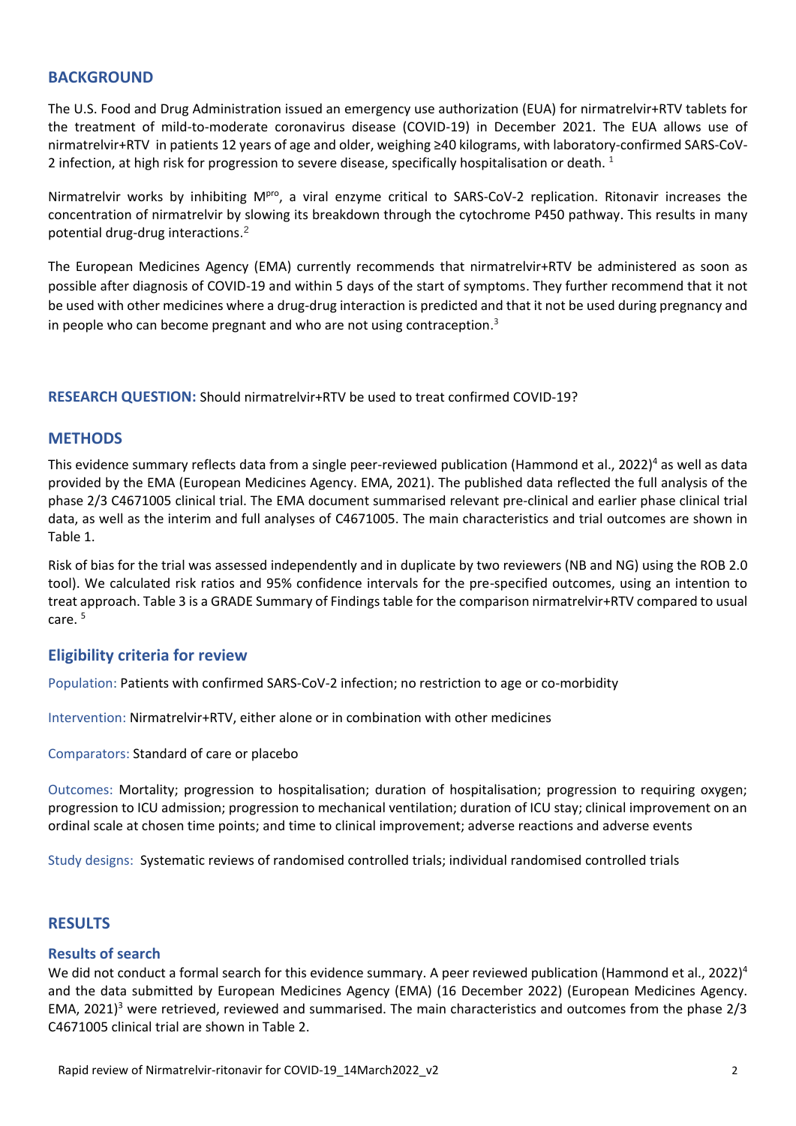### **BACKGROUND**

The U.S. Food and Drug Administration issued an [emergency use authorization \(EUA\)](https://www.fda.gov/media/155049/download) for nirmatrelvir+RTV tablets for the treatment of mild-to-moderate coronavirus disease (COVID-19) in December 2021. The EUA allows use of nirmatrelvir+RTV in patients 12 years of age and older, weighing ≥40 kilograms, with laboratory-confirmed SARS-CoV-2 infection, at high risk for progression to severe disease, specifically hospitalisation or death.<sup>1</sup>

Nirmatrelvir works by inhibiting MPTO, a viral enzyme critical to SARS-CoV-2 replication. Ritonavir increases the concentration of nirmatrelvir by slowing its breakdown through the cytochrome P450 pathway. This results in many potential drug-drug interactions. 2

<span id="page-1-1"></span>The European Medicines Agency (EMA) currently recommends that nirmatrelvir+RTV be administered as soon as possible after diagnosis of COVID-19 and within 5 days of the start of symptoms. They further recommend that it not be used with other medicines where a drug-drug interaction is predicted and that it not be used during pregnancy and in people who can become pregnant and who are not using contraception.<sup>3</sup>

**RESEARCH QUESTION:** Should nirmatrelvir+RTV be used to treat confirmed COVID-19?

### **METHODS**

<span id="page-1-0"></span>This evidence summary reflects data from a single peer-reviewed publication (Hammond et al., 2022)<sup>4</sup> as well as data provided by the EMA (European Medicines Agency. EMA, 2021). The published data reflected the full analysis of the phase 2/3 C4671005 clinical trial. The EMA document summarised relevant pre-clinical and earlier phase clinical trial data, as well as the interim and full analyses of C4671005. The main characteristics and trial outcomes are shown in Table 1.

Risk of bias for the trial was assessed independently and in duplicate by two reviewers (NB and NG) using the ROB 2.0 tool). We calculated risk ratios and 95% confidence intervals for the pre-specified outcomes, using an intention to treat approach. Table 3 is a GRADE Summary of Findings table for the comparison nirmatrelvir+RTV compared to usual care. 5

### **Eligibility criteria for review**

Population: Patients with confirmed SARS-CoV-2 infection; no restriction to age or co-morbidity

Intervention: Nirmatrelvir+RTV, either alone or in combination with other medicines

Comparators: Standard of care or placebo

Outcomes: Mortality; progression to hospitalisation; duration of hospitalisation; progression to requiring oxygen; progression to ICU admission; progression to mechanical ventilation; duration of ICU stay; clinical improvement on an ordinal scale at chosen time points; and time to clinical improvement; adverse reactions and adverse events

Study designs: Systematic reviews of randomised controlled trials; individual randomised controlled trials

### **RESULTS**

### **Results of search**

We did not conduct a formal search for this evidence summary. A peer reviewed publication (Hammond et al., 2022)<sup>[4](#page-1-0)</sup> and the data submitted by European Medicines Agency (EMA) (16 December 2022) (European Medicines Agency. EMA, 2021[\)](#page-1-1)<sup>3</sup> were retrieved, reviewed and summarised. The main characteristics and outcomes from the phase  $2/3$ C4671005 clinical trial are shown in Table 2.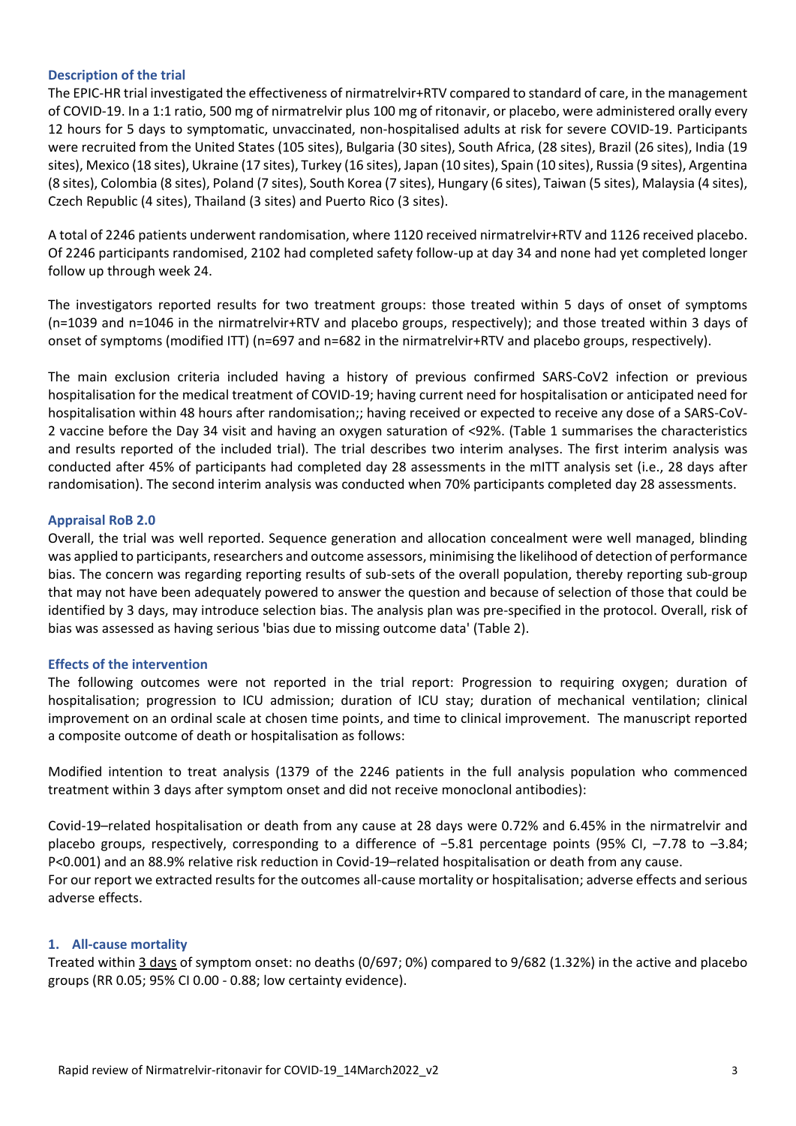#### **Description of the trial**

The EPIC-HR trial investigated the effectiveness of nirmatrelvir+RTV compared to standard of care, in the management of COVID-19. In a 1:1 ratio, 500 mg of nirmatrelvir plus 100 mg of ritonavir, or placebo, were administered orally every 12 hours for 5 days to symptomatic, unvaccinated, non-hospitalised adults at risk for severe COVID-19. Participants were recruited from the United States (105 sites), Bulgaria (30 sites), South Africa, (28 sites), Brazil (26 sites), India (19 sites), Mexico (18 sites), Ukraine (17 sites), Turkey (16 sites), Japan (10 sites), Spain (10 sites), Russia (9 sites), Argentina (8 sites), Colombia (8 sites), Poland (7 sites), South Korea (7 sites), Hungary (6 sites), Taiwan (5 sites), Malaysia (4 sites), Czech Republic (4 sites), Thailand (3 sites) and Puerto Rico (3 sites).

A total of 2246 patients underwent randomisation, where 1120 received nirmatrelvir+RTV and 1126 received placebo. Of 2246 participants randomised, 2102 had completed safety follow-up at day 34 and none had yet completed longer follow up through week 24.

The investigators reported results for two treatment groups: those treated within 5 days of onset of symptoms (n=1039 and n=1046 in the nirmatrelvir+RTV and placebo groups, respectively); and those treated within 3 days of onset of symptoms (modified ITT) (n=697 and n=682 in the nirmatrelvir+RTV and placebo groups, respectively).

The main exclusion criteria included having a history of previous confirmed SARS-CoV2 infection or previous hospitalisation for the medical treatment of COVID-19; having current need for hospitalisation or anticipated need for hospitalisation within 48 hours after randomisation;; having received or expected to receive any dose of a SARS-CoV-2 vaccine before the Day 34 visit and having an oxygen saturation of <92%. (Table 1 summarises the characteristics and results reported of the included trial). The trial describes two interim analyses. The first interim analysis was conducted after 45% of participants had completed day 28 assessments in the mITT analysis set (i.e., 28 days after randomisation). The second interim analysis was conducted when 70% participants completed day 28 assessments.

#### **Appraisal RoB 2.0**

Overall, the trial was well reported. Sequence generation and allocation concealment were well managed, blinding was applied to participants, researchers and outcome assessors, minimising the likelihood of detection of performance bias. The concern was regarding reporting results of sub-sets of the overall population, thereby reporting sub-group that may not have been adequately powered to answer the question and because of selection of those that could be identified by 3 days, may introduce selection bias. The analysis plan was pre-specified in the protocol. Overall, risk of bias was assessed as having serious 'bias due to missing outcome data' (Table 2).

### **Effects of the intervention**

The following outcomes were not reported in the trial report: Progression to requiring oxygen; duration of hospitalisation; progression to ICU admission; duration of ICU stay; duration of mechanical ventilation; clinical improvement on an ordinal scale at chosen time points, and time to clinical improvement. The manuscript reported a composite outcome of death or hospitalisation as follows:

Modified intention to treat analysis (1379 of the 2246 patients in the full analysis population who commenced treatment within 3 days after symptom onset and did not receive monoclonal antibodies):

Covid-19–related hospitalisation or death from any cause at 28 days were 0.72% and 6.45% in the nirmatrelvir and placebo groups, respectively, corresponding to a difference of −5.81 percentage points (95% CI, –7.78 to –3.84; P<0.001) and an 88.9% relative risk reduction in Covid-19–related hospitalisation or death from any cause. For our report we extracted results for the outcomes all-cause mortality or hospitalisation; adverse effects and serious adverse effects.

### **1. All-cause mortality**

Treated within 3 days of symptom onset: no deaths (0/697; 0%) compared to 9/682 (1.32%) in the active and placebo groups (RR 0.05; 95% CI 0.00 - 0.88; low certainty evidence).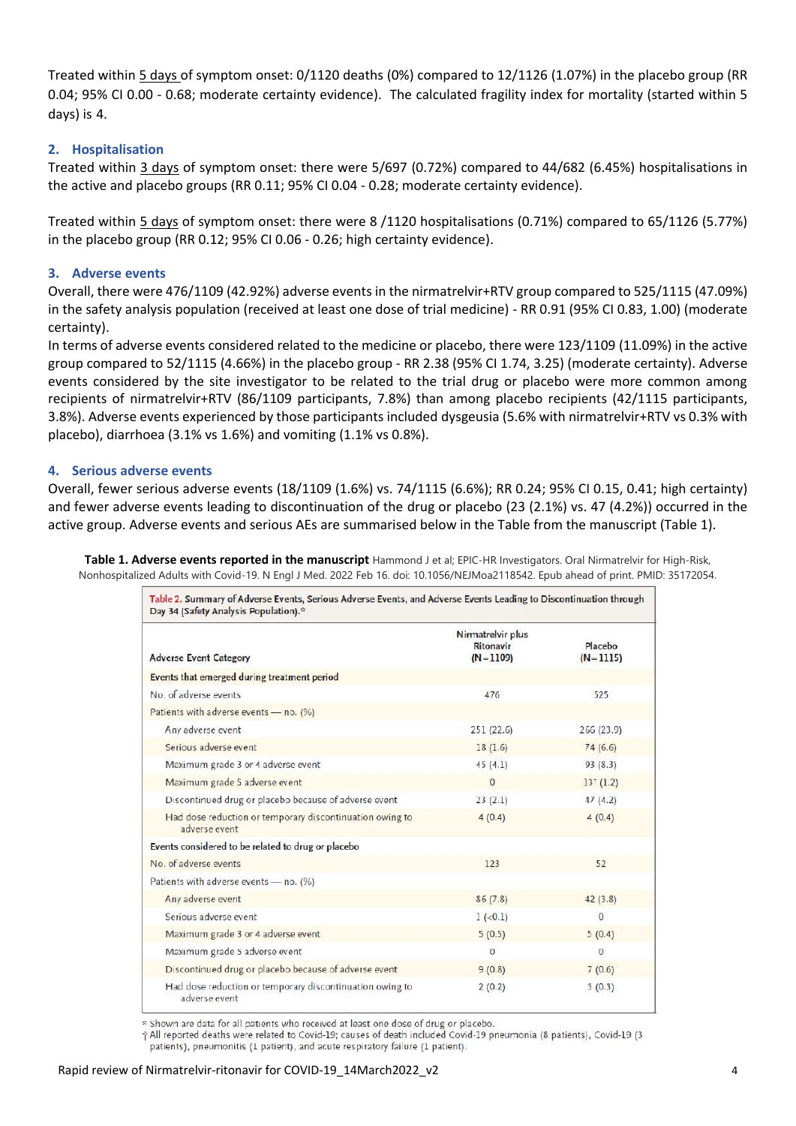Treated within 5 days of symptom onset: 0/1120 deaths (0%) compared to 12/1126 (1.07%) in the placebo group (RR 0.04; 95% CI 0.00 - 0.68; moderate certainty evidence). The calculated fragility index for mortality (started within 5 days) is 4.

### **2. Hospitalisation**

Treated within 3 days of symptom onset: there were 5/697 (0.72%) compared to 44/682 (6.45%) hospitalisations in the active and placebo groups (RR 0.11; 95% CI 0.04 - 0.28; moderate certainty evidence).

Treated within 5 days of symptom onset: there were 8 /1120 hospitalisations (0.71%) compared to 65/1126 (5.77%) in the placebo group (RR 0.12; 95% CI 0.06 - 0.26; high certainty evidence).

#### **3. Adverse events**

Overall, there were 476/1109 (42.92%) adverse events in the nirmatrelvir+RTV group compared to 525/1115 (47.09%) in the safety analysis population (received at least one dose of trial medicine) - RR 0.91 (95% CI 0.83, 1.00) (moderate certainty).

In terms of adverse events considered related to the medicine or placebo, there were 123/1109 (11.09%) in the active group compared to 52/1115 (4.66%) in the placebo group - RR 2.38 (95% CI 1.74, 3.25) (moderate certainty). Adverse events considered by the site investigator to be related to the trial drug or placebo were more common among recipients of nirmatrelvir+RTV (86/1109 participants, 7.8%) than among placebo recipients (42/1115 participants, 3.8%). Adverse events experienced by those participants included dysgeusia (5.6% with nirmatrelvir+RTV vs 0.3% with placebo), diarrhoea (3.1% vs 1.6%) and vomiting (1.1% vs 0.8%).

#### **4. Serious adverse events**

Overall, fewer serious adverse events (18/1109 (1.6%) vs. 74/1115 (6.6%); RR 0.24; 95% CI 0.15, 0.41; high certainty) and fewer adverse events leading to discontinuation of the drug or placebo (23 (2.1%) vs. 47 (4.2%)) occurred in the active group. Adverse events and serious AEs are summarised below in the Table from the manuscript (Table 1).

**Table 1. Adverse events reported in the manuscript** Hammond J et al; EPIC-HR Investigators. Oral Nirmatrelvir for High-Risk, Nonhospitalized Adults with Covid-19. N Engl J Med. 2022 Feb 16. doi: 10.1056/NEJMoa2118542. Epub ahead of print. PMID: 35172054.

| Table 2. Summary of Adverse Events, Serious Adverse Events, and Adverse Events Leading to Discontinuation through<br>Day 34 (Safety Analysis Population).* |                                              |                       |
|------------------------------------------------------------------------------------------------------------------------------------------------------------|----------------------------------------------|-----------------------|
| <b>Adverse Event Category</b>                                                                                                                              | Nirmatrelvir plus<br>Ritonavir<br>$(N=1109)$ | Placebo<br>$(N=1115)$ |
| Events that emerged during treatment period                                                                                                                |                                              |                       |
| No. of adverse events                                                                                                                                      | 476                                          | 525                   |
| Patients with adverse events - no. (%)                                                                                                                     |                                              |                       |
| Any adverse event                                                                                                                                          | 251(22.6)                                    | 266(23.9)             |
| Serious adverse event                                                                                                                                      | 18(1.6)                                      | 74(6.6)               |
| Maximum grade 3 or 4 adverse event                                                                                                                         | 45(4.1)                                      | 93(8.3)               |
| Maximum grade 5 adverse event                                                                                                                              | $\Omega$                                     | $13^{+}(1.2)$         |
| Discontinued drug or placebo because of adverse event                                                                                                      | 23(2.1)                                      | 47(4.2)               |
| Had dose reduction or temporary discontinuation owing to<br>adverse event                                                                                  | 4(0.4)                                       | 4(0.4)                |
| Events considered to be related to drug or placebo                                                                                                         |                                              |                       |
| No. of adverse events                                                                                                                                      | 123                                          | 52                    |
| Patients with adverse events - no. (%)                                                                                                                     |                                              |                       |
| Any adverse event                                                                                                                                          | 86(7.8)                                      | 42(3.8)               |
| Serious adverse event                                                                                                                                      | $1 (-0.1)$                                   | $\Omega$              |
| Maximum grade 3 or 4 adverse event                                                                                                                         | 5(0.5)                                       | 5(0.4)                |
| Maximum grade 5 adverse event                                                                                                                              | $\Omega$                                     | $\Omega$              |
| Discontinued drug or placebo because of adverse event                                                                                                      | 9(0.8)                                       | 7(0.6)                |
| Had dose reduction or temporary discontinuation owing to<br>adverse event                                                                                  | 2(0.2)                                       | 3(0.3)                |

\* Shown are data for all patients who received at least one dose of drug or placebo.

† All reported deaths were related to Covid-19; causes of death included Covid-19 pneumonia (8 patients), Covid-19 (3 patients), pneumonitis (1 patient), and acute respiratory failure (1 patient).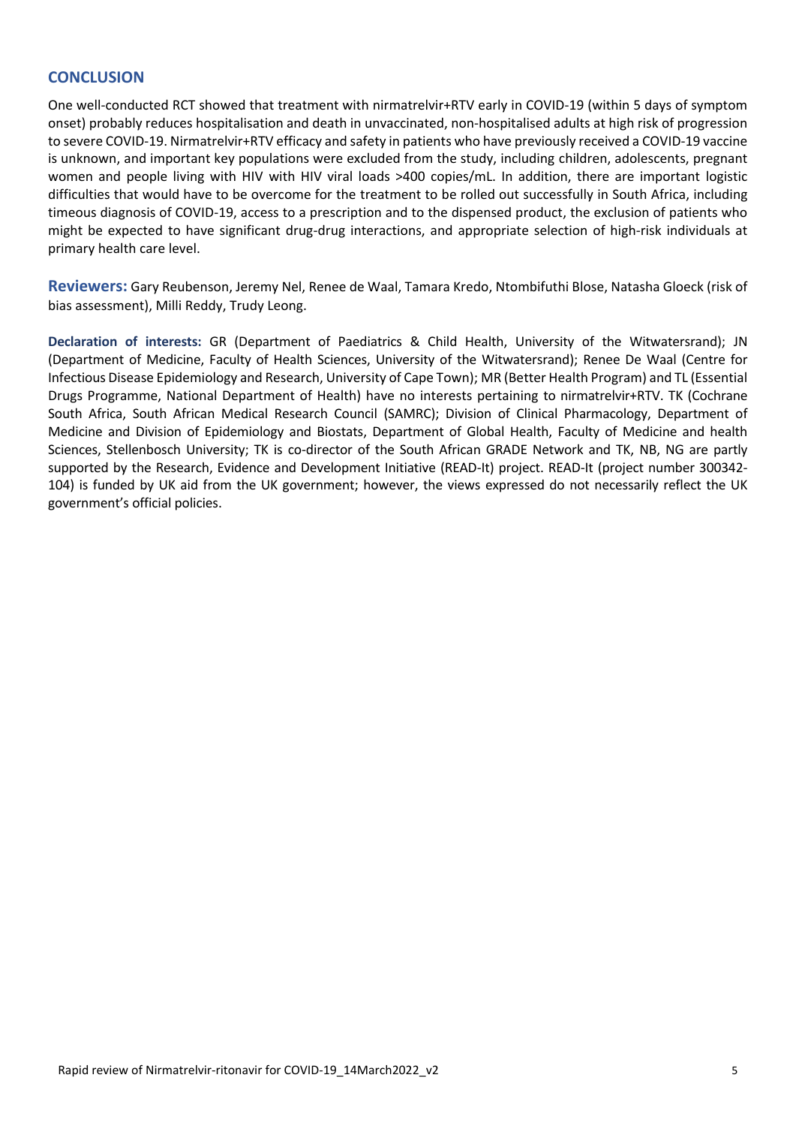# **CONCLUSION**

One well-conducted RCT showed that treatment with nirmatrelvir+RTV early in COVID-19 (within 5 days of symptom onset) probably reduces hospitalisation and death in unvaccinated, non-hospitalised adults at high risk of progression to severe COVID-19. Nirmatrelvir+RTV efficacy and safety in patients who have previously received a COVID-19 vaccine is unknown, and important key populations were excluded from the study, including children, adolescents, pregnant women and people living with HIV with HIV viral loads >400 copies/mL. In addition, there are important logistic difficulties that would have to be overcome for the treatment to be rolled out successfully in South Africa, including timeous diagnosis of COVID-19, access to a prescription and to the dispensed product, the exclusion of patients who might be expected to have significant drug-drug interactions, and appropriate selection of high-risk individuals at primary health care level.

**Reviewers:** Gary Reubenson, Jeremy Nel, Renee de Waal, Tamara Kredo, Ntombifuthi Blose, Natasha Gloeck (risk of bias assessment), Milli Reddy, Trudy Leong.

**Declaration of interests:** GR (Department of Paediatrics & Child Health, University of the Witwatersrand); JN (Department of Medicine, Faculty of Health Sciences, University of the Witwatersrand); Renee De Waal (Centre for Infectious Disease Epidemiology and Research, University of Cape Town); MR (Better Health Program) and TL (Essential Drugs Programme, National Department of Health) have no interests pertaining to nirmatrelvir+RTV. TK (Cochrane South Africa, South African Medical Research Council (SAMRC); Division of Clinical Pharmacology, Department of Medicine and Division of Epidemiology and Biostats, Department of Global Health, Faculty of Medicine and health Sciences, Stellenbosch University; TK is co-director of the South African GRADE Network and TK, NB, NG are partly supported by the Research, Evidence and Development Initiative (READ-It) project. READ-It (project number 300342- 104) is funded by UK aid from the UK government; however, the views expressed do not necessarily reflect the UK government's official policies.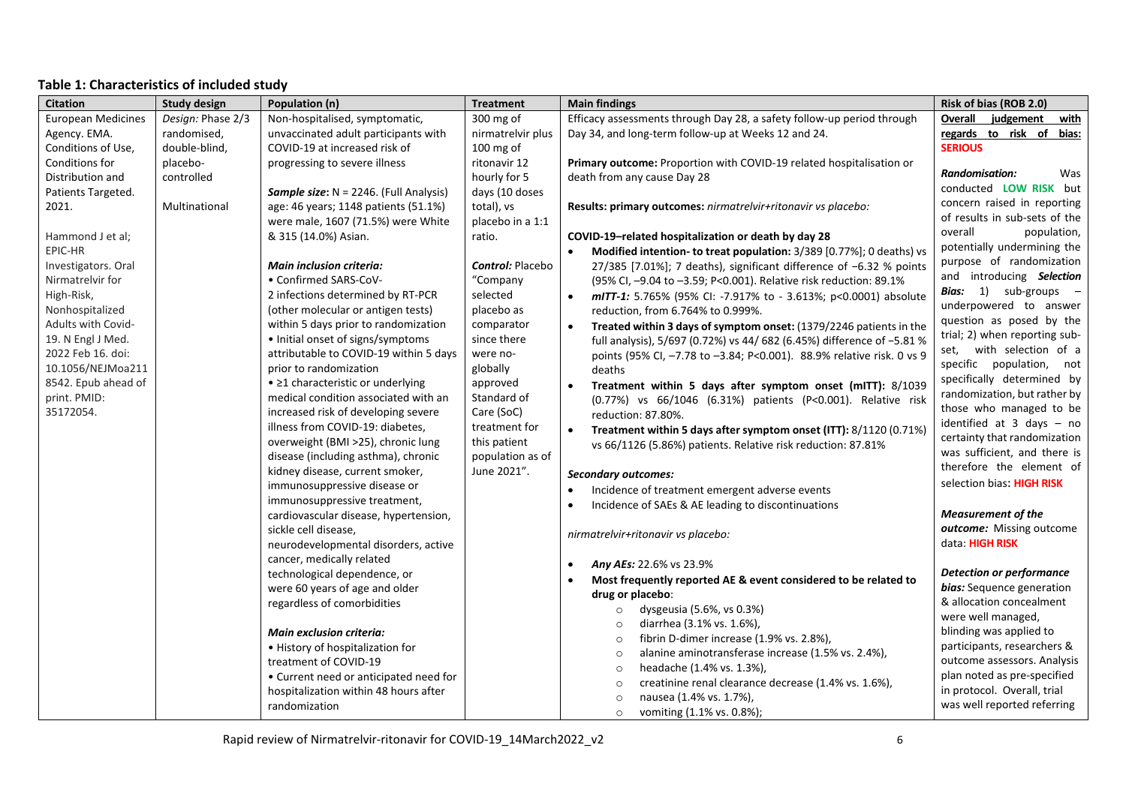# **Table 1: Characteristics of included study**

| <b>Citation</b>           | <b>Study design</b> | Population (n)                                            | <b>Treatment</b>        | <b>Main findings</b>                                                   | Risk of bias (ROB 2.0)                                 |
|---------------------------|---------------------|-----------------------------------------------------------|-------------------------|------------------------------------------------------------------------|--------------------------------------------------------|
| <b>European Medicines</b> | Design: Phase 2/3   | Non-hospitalised, symptomatic,                            | 300 mg of               | Efficacy assessments through Day 28, a safety follow-up period through | Overall judgement<br>with                              |
| Agency. EMA.              | randomised,         | unvaccinated adult participants with                      | nirmatrelvir plus       | Day 34, and long-term follow-up at Weeks 12 and 24.                    | regards to risk of bias:                               |
| Conditions of Use,        | double-blind,       | COVID-19 at increased risk of                             | 100 mg of               |                                                                        | <b>SERIOUS</b>                                         |
| Conditions for            | placebo-            | progressing to severe illness                             | ritonavir 12            | Primary outcome: Proportion with COVID-19 related hospitalisation or   |                                                        |
| Distribution and          | controlled          |                                                           | hourly for 5            | death from any cause Day 28                                            | <b>Randomisation:</b><br>Was                           |
| Patients Targeted.        |                     | Sample size: N = 2246. (Full Analysis)                    | days (10 doses          |                                                                        | conducted LOW RISK but                                 |
| 2021.                     | Multinational       | age: 46 years; 1148 patients (51.1%)                      | total), vs              | Results: primary outcomes: nirmatrelvir+ritonavir vs placebo:          | concern raised in reporting                            |
|                           |                     | were male, 1607 (71.5%) were White                        | placebo in a 1:1        |                                                                        | of results in sub-sets of the                          |
| Hammond J et al;          |                     | & 315 (14.0%) Asian.                                      | ratio.                  | COVID-19-related hospitalization or death by day 28                    | overall<br>population,                                 |
| EPIC-HR                   |                     |                                                           |                         | Modified intention- to treat population: 3/389 [0.77%]; 0 deaths) vs   | potentially undermining the                            |
| Investigators. Oral       |                     | <b>Main inclusion criteria:</b>                           | <b>Control: Placebo</b> | 27/385 [7.01%]; 7 deaths), significant difference of -6.32 % points    | purpose of randomization                               |
| Nirmatrelvir for          |                     | • Confirmed SARS-CoV-                                     | "Company                | (95% CI, -9.04 to -3.59; P<0.001). Relative risk reduction: 89.1%      | and introducing Selection                              |
| High-Risk,                |                     | 2 infections determined by RT-PCR                         | selected                | mITT-1: 5.765% (95% CI: -7.917% to - 3.613%; p<0.0001) absolute        | Bias: 1) sub-groups -                                  |
| Nonhospitalized           |                     | (other molecular or antigen tests)                        | placebo as              | reduction, from 6.764% to 0.999%.                                      | underpowered to answer                                 |
| <b>Adults with Covid-</b> |                     | within 5 days prior to randomization                      | comparator              | Treated within 3 days of symptom onset: (1379/2246 patients in the     | question as posed by the                               |
| 19. N Engl J Med.         |                     | • Initial onset of signs/symptoms                         | since there             | full analysis), 5/697 (0.72%) vs 44/ 682 (6.45%) difference of -5.81 % | trial; 2) when reporting sub-                          |
| 2022 Feb 16. doi:         |                     | attributable to COVID-19 within 5 days                    | were no-                | points (95% CI, -7.78 to -3.84; P<0.001). 88.9% relative risk. 0 vs 9  | set, with selection of a                               |
| 10.1056/NEJMoa211         |                     | prior to randomization                                    | globally                | deaths                                                                 | specific population, not<br>specifically determined by |
| 8542. Epub ahead of       |                     | • ≥1 characteristic or underlying                         | approved                | Treatment within 5 days after symptom onset (mITT): 8/1039             | randomization, but rather by                           |
| print. PMID:              |                     | medical condition associated with an                      | Standard of             | (0.77%) vs 66/1046 (6.31%) patients (P<0.001). Relative risk           | those who managed to be                                |
| 35172054.                 |                     | increased risk of developing severe                       | Care (SoC)              | reduction: 87.80%.                                                     | identified at 3 days - no                              |
|                           |                     | illness from COVID-19: diabetes,                          | treatment for           | Treatment within 5 days after symptom onset (ITT): 8/1120 (0.71%)      | certainty that randomization                           |
|                           |                     | overweight (BMI >25), chronic lung                        | this patient            | vs 66/1126 (5.86%) patients. Relative risk reduction: 87.81%           | was sufficient, and there is                           |
|                           |                     | disease (including asthma), chronic                       | population as of        |                                                                        | therefore the element of                               |
|                           |                     | kidney disease, current smoker,                           | June 2021".             | <b>Secondary outcomes:</b>                                             | selection bias: HIGH RISK                              |
|                           |                     | immunosuppressive disease or                              |                         | Incidence of treatment emergent adverse events                         |                                                        |
|                           |                     | immunosuppressive treatment,                              |                         | Incidence of SAEs & AE leading to discontinuations                     | <b>Measurement of the</b>                              |
|                           |                     | cardiovascular disease, hypertension,                     |                         |                                                                        | outcome: Missing outcome                               |
|                           |                     | sickle cell disease,                                      |                         | nirmatrelvir+ritonavir vs placebo:                                     | data: HIGH RISK                                        |
|                           |                     | neurodevelopmental disorders, active                      |                         |                                                                        |                                                        |
|                           |                     | cancer, medically related<br>technological dependence, or |                         | Any AEs: 22.6% vs 23.9%                                                | <b>Detection or performance</b>                        |
|                           |                     | were 60 years of age and older                            |                         | Most frequently reported AE & event considered to be related to        | bias: Sequence generation                              |
|                           |                     | regardless of comorbidities                               |                         | drug or placebo:                                                       | & allocation concealment                               |
|                           |                     |                                                           |                         | dysgeusia (5.6%, vs 0.3%)<br>$\circ$                                   | were well managed,                                     |
|                           |                     | <b>Main exclusion criteria:</b>                           |                         | diarrhea (3.1% vs. 1.6%),<br>$\circ$                                   | blinding was applied to                                |
|                           |                     | • History of hospitalization for                          |                         | fibrin D-dimer increase (1.9% vs. 2.8%),<br>$\circ$                    | participants, researchers &                            |
|                           |                     | treatment of COVID-19                                     |                         | alanine aminotransferase increase (1.5% vs. 2.4%),<br>$\circ$          | outcome assessors. Analysis                            |
|                           |                     | • Current need or anticipated need for                    |                         | headache (1.4% vs. 1.3%),<br>$\circ$                                   | plan noted as pre-specified                            |
|                           |                     | hospitalization within 48 hours after                     |                         | creatinine renal clearance decrease (1.4% vs. 1.6%),<br>$\circ$        | in protocol. Overall, trial                            |
|                           |                     | randomization                                             |                         | nausea (1.4% vs. 1.7%),<br>$\circ$                                     | was well reported referring                            |
|                           |                     |                                                           |                         | vomiting (1.1% vs. 0.8%);<br>$\circ$                                   |                                                        |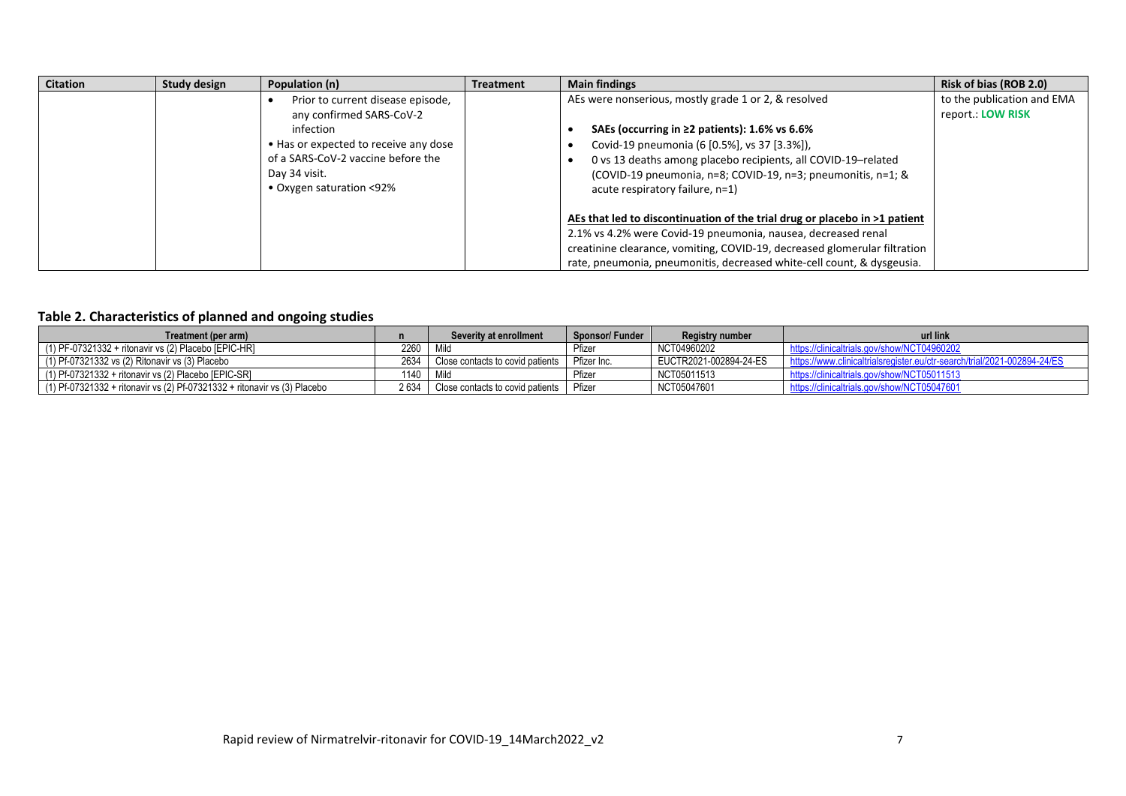| <b>Citation</b> | <b>Study design</b> | Population (n)                                                                                                                                                                                         | <b>Treatment</b> | <b>Main findings</b>                                                                                                                                                                                                                                                                                                            | Risk of bias (ROB 2.0)                          |
|-----------------|---------------------|--------------------------------------------------------------------------------------------------------------------------------------------------------------------------------------------------------|------------------|---------------------------------------------------------------------------------------------------------------------------------------------------------------------------------------------------------------------------------------------------------------------------------------------------------------------------------|-------------------------------------------------|
|                 |                     | Prior to current disease episode,<br>any confirmed SARS-CoV-2<br>infection<br>• Has or expected to receive any dose<br>of a SARS-CoV-2 vaccine before the<br>Dav 34 visit.<br>• Oxygen saturation <92% |                  | AEs were nonserious, mostly grade 1 or 2, & resolved<br>SAEs (occurring in $\geq$ 2 patients): 1.6% vs 6.6%<br>Covid-19 pneumonia (6 [0.5%], vs 37 [3.3%]),<br>0 vs 13 deaths among placebo recipients, all COVID-19-related<br>(COVID-19 pneumonia, n=8; COVID-19, n=3; pneumonitis, n=1; &<br>acute respiratory failure, n=1) | to the publication and EMA<br>report.: LOW RISK |
|                 |                     |                                                                                                                                                                                                        |                  | AEs that led to discontinuation of the trial drug or placebo in >1 patient<br>2.1% vs 4.2% were Covid-19 pneumonia, nausea, decreased renal<br>creatinine clearance, vomiting, COVID-19, decreased glomerular filtration<br>rate, pneumonia, pneumonitis, decreased white-cell count, & dysgeusia.                              |                                                 |

## **Table 2. Characteristics of planned and ongoing studies**

| Treatment (per arm)                                                       |      | Severity at enrollment           | Sponsor/Funder | Registry number        | url link                                                                 |
|---------------------------------------------------------------------------|------|----------------------------------|----------------|------------------------|--------------------------------------------------------------------------|
| (1) PF-07321332 + ritonavir vs (2) Placebo [EPIC-HR]                      | 2260 |                                  | Pfizer         | NCT04960202            | https://clinicaltrials.gov/show/NCT04960202                              |
| (1) Pf-07321332 vs (2) Ritonavir vs (3) Placebo                           | 2634 | Close contacts to covid patients | Pfizer Inc.    | EUCTR2021-002894-24-ES | https://www.clinicaltrialsregister.eu/ctr-search/trial/2021-002894-24/ES |
| $(1)$ Pf-07321332 + ritonavir vs $(2)$ Placebo [EPIC-SR]                  | 1140 | Mil                              | Pfizer         | NCT05011513            | https://clinicaltrials.gov/show/NCT05011513                              |
| (1) Pf-07321332 + ritonavir vs (2) Pf-07321332 + ritonavir vs (3) Placebo | 2634 | Close contacts to covid patients | Pfizer         | NCT05047601            | https://clinicaltrials.gov/show/NCT05047601                              |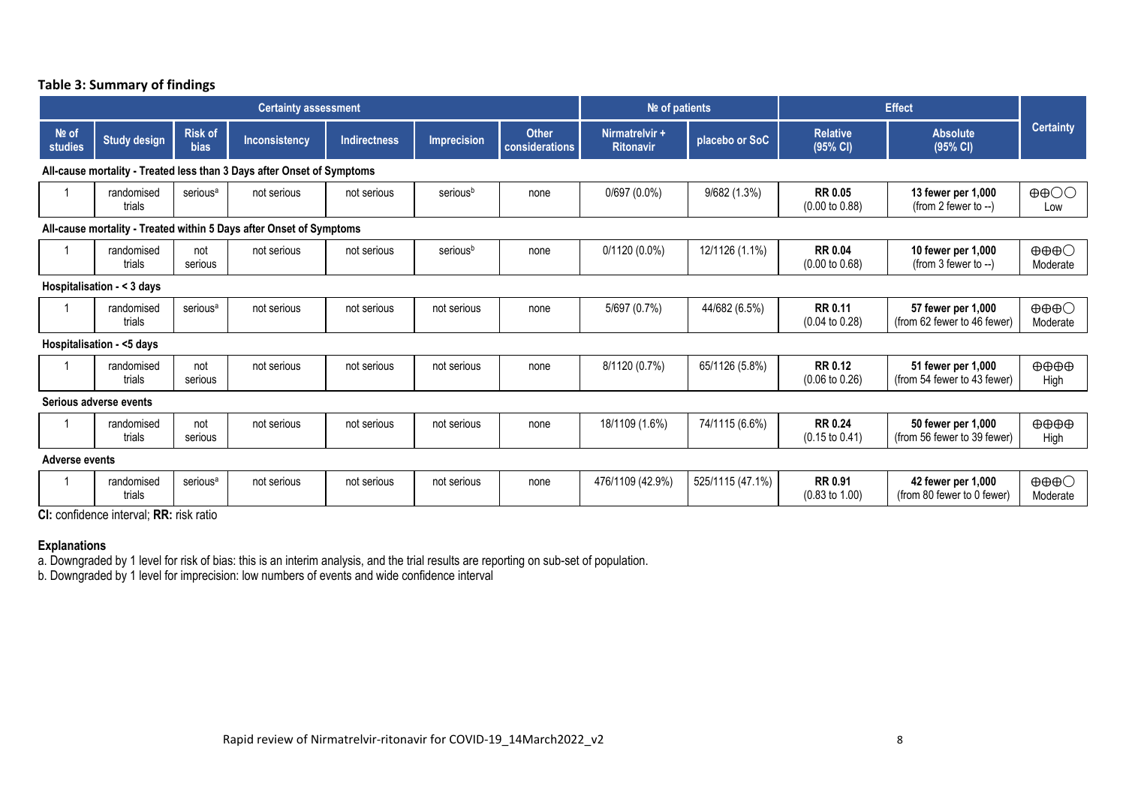|  |  | Table 3: Summary of findings |  |  |
|--|--|------------------------------|--|--|
|--|--|------------------------------|--|--|

|                       | <b>Certainty assessment</b>                                         |                               |                                                                        |                     |                      |                                | Nº of patients                     |                  | <b>Effect</b>                               |                                                   |                                             |
|-----------------------|---------------------------------------------------------------------|-------------------------------|------------------------------------------------------------------------|---------------------|----------------------|--------------------------------|------------------------------------|------------------|---------------------------------------------|---------------------------------------------------|---------------------------------------------|
| Nº of<br>studies      | <b>Study design</b>                                                 | <b>Risk of</b><br><b>bias</b> | Inconsistency                                                          | <b>Indirectness</b> | <b>Imprecision</b>   | <b>Other</b><br>considerations | Nirmatrelvir +<br><b>Ritonavir</b> | placebo or SoC   | <b>Relative</b><br>(95% CI)                 | <b>Absolute</b><br>(95% CI)                       | <b>Certainty</b>                            |
|                       |                                                                     |                               | All-cause mortality - Treated less than 3 Days after Onset of Symptoms |                     |                      |                                |                                    |                  |                                             |                                                   |                                             |
|                       | randomised<br>trials                                                | serious <sup>a</sup>          | not serious                                                            | not serious         | serious <sup>b</sup> | none                           | $0/697(0.0\%)$                     | 9/682(1.3%)      | <b>RR 0.05</b><br>$(0.00 \text{ to } 0.88)$ | 13 fewer per 1,000<br>(from 2 fewer to $-$ )      | $\oplus$ $\oplus$<br>Low                    |
|                       | All-cause mortality - Treated within 5 Days after Onset of Symptoms |                               |                                                                        |                     |                      |                                |                                    |                  |                                             |                                                   |                                             |
|                       | randomised<br>trials                                                | not<br>serious                | not serious                                                            | not serious         | seriousb             | none                           | $0/1120(0.0\%)$                    | 12/1126 (1.1%)   | <b>RR 0.04</b><br>$(0.00 \text{ to } 0.68)$ | 10 fewer per 1,000<br>(from $3$ fewer to $-$ )    | $\oplus \oplus \oplus \bigcirc$<br>Moderate |
|                       | Hospitalisation - < 3 days                                          |                               |                                                                        |                     |                      |                                |                                    |                  |                                             |                                                   |                                             |
|                       | randomised<br>trials                                                | serious <sup>a</sup>          | not serious                                                            | not serious         | not serious          | none                           | 5/697 (0.7%)                       | 44/682 (6.5%)    | <b>RR 0.11</b><br>$(0.04 \text{ to } 0.28)$ | 57 fewer per 1,000<br>(from 62 fewer to 46 fewer) | $\oplus \oplus \oplus \bigcirc$<br>Moderate |
|                       | Hospitalisation - <5 days                                           |                               |                                                                        |                     |                      |                                |                                    |                  |                                             |                                                   |                                             |
|                       | randomised<br>trials                                                | not<br>serious                | not serious                                                            | not serious         | not serious          | none                           | 8/1120 (0.7%)                      | 65/1126 (5.8%)   | <b>RR 0.12</b><br>$(0.06 \text{ to } 0.26)$ | 51 fewer per 1,000<br>(from 54 fewer to 43 fewer) | $\oplus \oplus \oplus$<br>High              |
|                       | Serious adverse events                                              |                               |                                                                        |                     |                      |                                |                                    |                  |                                             |                                                   |                                             |
|                       | randomised<br>trials                                                | not<br>serious                | not serious                                                            | not serious         | not serious          | none                           | 18/1109 (1.6%)                     | 74/1115 (6.6%)   | <b>RR 0.24</b><br>$(0.15 \text{ to } 0.41)$ | 50 fewer per 1,000<br>(from 56 fewer to 39 fewer) | $\oplus \oplus \oplus$<br>High              |
| <b>Adverse events</b> |                                                                     |                               |                                                                        |                     |                      |                                |                                    |                  |                                             |                                                   |                                             |
|                       | randomised<br>trials                                                | serious <sup>a</sup>          | not serious                                                            | not serious         | not serious          | none                           | 476/1109 (42.9%)                   | 525/1115 (47.1%) | <b>RR 0.91</b><br>$(0.83 \text{ to } 1.00)$ | 42 fewer per 1,000<br>(from 80 fewer to 0 fewer)  | $\oplus \oplus \oplus \bigcirc$<br>Moderate |

**CI:** confidence interval; **RR:** risk ratio

#### **Explanations**

a. Downgraded by 1 level for risk of bias: this is an interim analysis, and the trial results are reporting on sub-set of population.

b. Downgraded by 1 level for imprecision: low numbers of events and wide confidence interval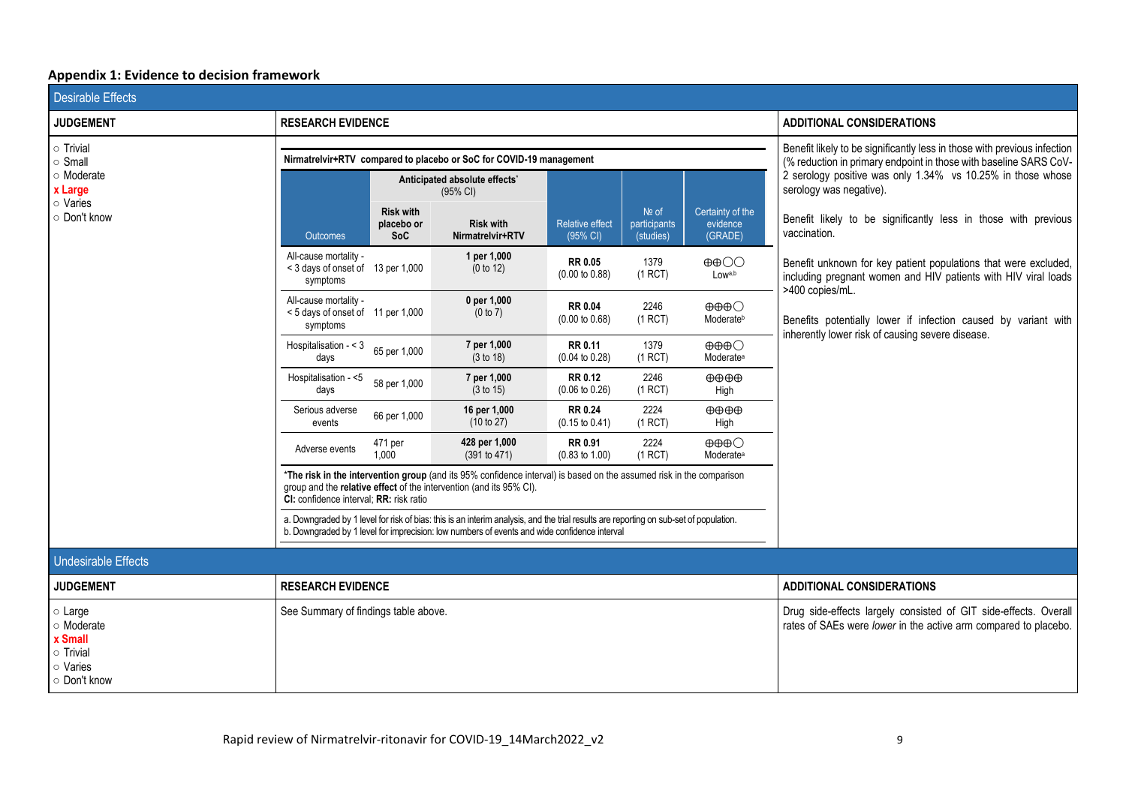# **Appendix 1: Evidence to decision framework**

| <b>Desirable Effects</b>                                  |                                                                                                                                                                                                                                       |                                              |                                                                                                                                                                                             |                                             |                                      |                                                          |                                                                                                                                                      |
|-----------------------------------------------------------|---------------------------------------------------------------------------------------------------------------------------------------------------------------------------------------------------------------------------------------|----------------------------------------------|---------------------------------------------------------------------------------------------------------------------------------------------------------------------------------------------|---------------------------------------------|--------------------------------------|----------------------------------------------------------|------------------------------------------------------------------------------------------------------------------------------------------------------|
| <b>JUDGEMENT</b>                                          | <b>RESEARCH EVIDENCE</b>                                                                                                                                                                                                              |                                              |                                                                                                                                                                                             |                                             |                                      |                                                          | <b>ADDITIONAL CONSIDERATIONS</b>                                                                                                                     |
| $\circ$ Trivial<br>o Small                                |                                                                                                                                                                                                                                       |                                              | Nirmatrelvir+RTV compared to placebo or SoC for COVID-19 management                                                                                                                         |                                             |                                      |                                                          | Benefit likely to be significantly less in those with previous infection<br>(% reduction in primary endpoint in those with baseline SARS CoV-        |
| o Moderate<br>x Large                                     |                                                                                                                                                                                                                                       |                                              | Anticipated absolute effects*<br>(95% CI)                                                                                                                                                   |                                             |                                      |                                                          | 2 serology positive was only 1.34% vs 10.25% in those whose<br>serology was negative).                                                               |
| o Varies<br>○ Don't know                                  | Outcomes                                                                                                                                                                                                                              | <b>Risk with</b><br>placebo or<br><b>SoC</b> | <b>Risk with</b><br>Nirmatrelvir+RTV                                                                                                                                                        | <b>Relative effect</b><br>(95% CI)          | $Ne$ of<br>participants<br>(studies) | Certainty of the<br>evidence<br>(GRADE)                  | Benefit likely to be significantly less in those with previous<br>vaccination.                                                                       |
|                                                           | All-cause mortality -<br>< 3 days of onset of 13 per 1,000<br>symptoms                                                                                                                                                                |                                              | 1 per 1,000<br>(0 to 12)                                                                                                                                                                    | RR 0.05<br>$(0.00 \text{ to } 0.88)$        | 1379<br>(1 RCT)                      | $\oplus$ $\oplus$<br>Lowa,b                              | Benefit unknown for key patient populations that were excluded,<br>including pregnant women and HIV patients with HIV viral loads<br>>400 copies/mL. |
|                                                           | All-cause mortality -<br>< 5 days of onset of 11 per 1,000<br>symptoms                                                                                                                                                                |                                              | 0 per 1,000<br>(0 to 7)                                                                                                                                                                     | <b>RR 0.04</b><br>$(0.00 \text{ to } 0.68)$ | 2246<br>(1 RCT)                      | $\oplus \oplus \oplus \bigcirc$<br>Moderateb             | Benefits potentially lower if infection caused by variant with<br>inherently lower risk of causing severe disease.                                   |
|                                                           | Hospitalisation - < 3<br>days                                                                                                                                                                                                         | 65 per 1,000                                 | 7 per 1,000<br>(3 to 18)                                                                                                                                                                    | RR 0.11<br>$(0.04 \text{ to } 0.28)$        | 1379<br>(1 RCT)                      | $\oplus \oplus \oplus \bigcirc$<br>Moderate <sup>a</sup> |                                                                                                                                                      |
|                                                           | Hospitalisation - <5<br>days                                                                                                                                                                                                          | 58 per 1,000                                 | 7 per 1,000<br>(3 to 15)                                                                                                                                                                    | <b>RR 0.12</b><br>$(0.06 \text{ to } 0.26)$ | 2246<br>(1 RCT)                      | $\oplus \oplus \oplus$<br>High                           |                                                                                                                                                      |
|                                                           | Serious adverse<br>events                                                                                                                                                                                                             | 66 per 1,000                                 | 16 per 1,000<br>(10 to 27)                                                                                                                                                                  | <b>RR 0.24</b><br>$(0.15 \text{ to } 0.41)$ | 2224<br>(1 RCT)                      | $\oplus \oplus \oplus$<br>High                           |                                                                                                                                                      |
|                                                           | Adverse events                                                                                                                                                                                                                        | 471 per<br>1,000                             | 428 per 1,000<br>(391 to 471)                                                                                                                                                               | <b>RR 0.91</b><br>$(0.83 \text{ to } 1.00)$ | 2224<br>(1 RCT)                      | $\oplus \oplus \oplus \bigcirc$<br>Moderate <sup>a</sup> |                                                                                                                                                      |
|                                                           | CI: confidence interval: RR: risk ratio                                                                                                                                                                                               |                                              | *The risk in the intervention group (and its 95% confidence interval) is based on the assumed risk in the comparison<br>group and the relative effect of the intervention (and its 95% CI). |                                             |                                      |                                                          |                                                                                                                                                      |
|                                                           | a. Downgraded by 1 level for risk of bias: this is an interim analysis, and the trial results are reporting on sub-set of population.<br>b. Downgraded by 1 level for imprecision: low numbers of events and wide confidence interval |                                              |                                                                                                                                                                                             |                                             |                                      |                                                          |                                                                                                                                                      |
| <b>Undesirable Effects</b>                                |                                                                                                                                                                                                                                       |                                              |                                                                                                                                                                                             |                                             |                                      |                                                          |                                                                                                                                                      |
| <b>JUDGEMENT</b>                                          | <b>RESEARCH EVIDENCE</b>                                                                                                                                                                                                              |                                              |                                                                                                                                                                                             |                                             |                                      |                                                          | <b>ADDITIONAL CONSIDERATIONS</b>                                                                                                                     |
| $\circ$ Large<br>o Moderate<br>x Small<br>$\circ$ Trivial | See Summary of findings table above.                                                                                                                                                                                                  |                                              |                                                                                                                                                                                             |                                             |                                      |                                                          | Drug side-effects largely consisted of GIT side-effects. Overall<br>rates of SAEs were lower in the active arm compared to placebo.                  |
| o Varies<br>O Don't know                                  |                                                                                                                                                                                                                                       |                                              |                                                                                                                                                                                             |                                             |                                      |                                                          |                                                                                                                                                      |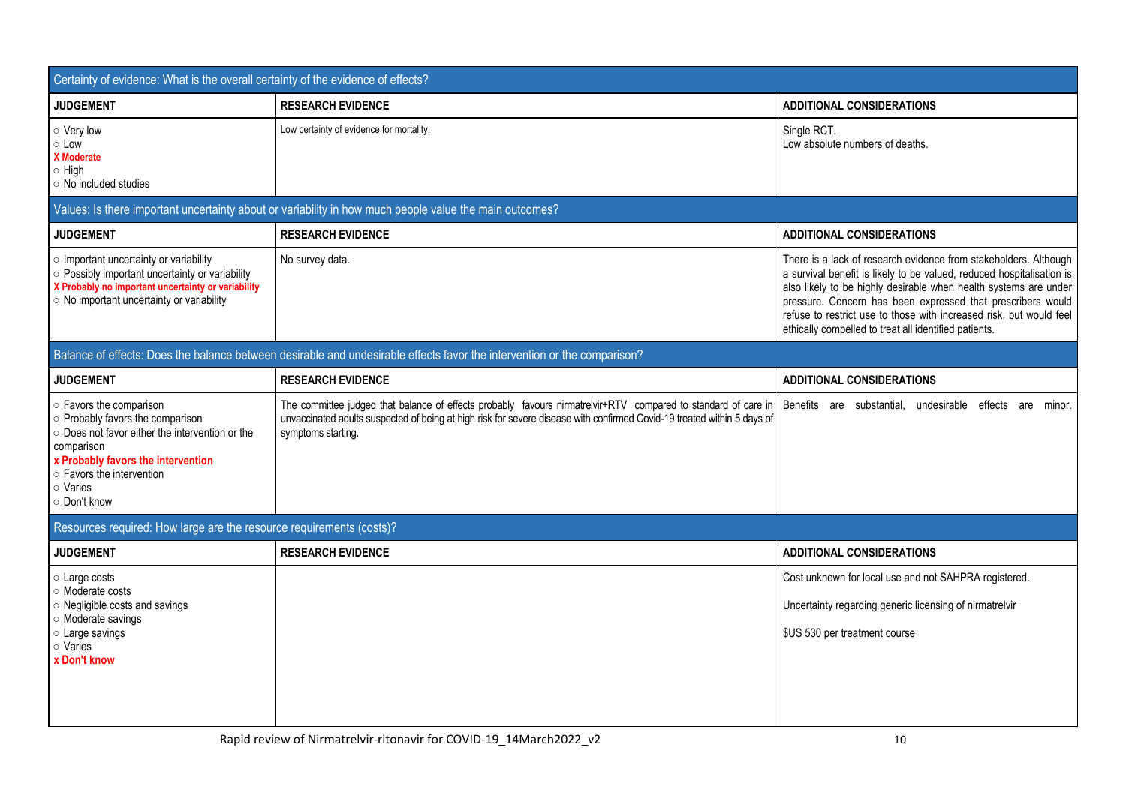| Certainty of evidence: What is the overall certainty of the evidence of effects?                                                                                                                                                        |                                                                                                                                                                                                                                                                 |                                                                                                                                                                                                                                                                                                                                                                                                              |
|-----------------------------------------------------------------------------------------------------------------------------------------------------------------------------------------------------------------------------------------|-----------------------------------------------------------------------------------------------------------------------------------------------------------------------------------------------------------------------------------------------------------------|--------------------------------------------------------------------------------------------------------------------------------------------------------------------------------------------------------------------------------------------------------------------------------------------------------------------------------------------------------------------------------------------------------------|
| <b>JUDGEMENT</b>                                                                                                                                                                                                                        | <b>RESEARCH EVIDENCE</b>                                                                                                                                                                                                                                        | <b>ADDITIONAL CONSIDERATIONS</b>                                                                                                                                                                                                                                                                                                                                                                             |
| o Very low<br>$\circ$ Low<br>X Moderate<br>$\circ$ High<br>○ No included studies                                                                                                                                                        | Low certainty of evidence for mortality.                                                                                                                                                                                                                        | Single RCT.<br>Low absolute numbers of deaths.                                                                                                                                                                                                                                                                                                                                                               |
|                                                                                                                                                                                                                                         | Values: Is there important uncertainty about or variability in how much people value the main outcomes?                                                                                                                                                         |                                                                                                                                                                                                                                                                                                                                                                                                              |
| <b>JUDGEMENT</b>                                                                                                                                                                                                                        | <b>RESEARCH EVIDENCE</b>                                                                                                                                                                                                                                        | <b>ADDITIONAL CONSIDERATIONS</b>                                                                                                                                                                                                                                                                                                                                                                             |
| o Important uncertainty or variability<br>○ Possibly important uncertainty or variability<br>X Probably no important uncertainty or variability<br>○ No important uncertainty or variability                                            | No survey data.                                                                                                                                                                                                                                                 | There is a lack of research evidence from stakeholders. Although<br>a survival benefit is likely to be valued, reduced hospitalisation is<br>also likely to be highly desirable when health systems are under<br>pressure. Concern has been expressed that prescribers would<br>refuse to restrict use to those with increased risk, but would feel<br>ethically compelled to treat all identified patients. |
|                                                                                                                                                                                                                                         | Balance of effects: Does the balance between desirable and undesirable effects favor the intervention or the comparison?                                                                                                                                        |                                                                                                                                                                                                                                                                                                                                                                                                              |
| <b>JUDGEMENT</b>                                                                                                                                                                                                                        | <b>RESEARCH EVIDENCE</b>                                                                                                                                                                                                                                        | <b>ADDITIONAL CONSIDERATIONS</b>                                                                                                                                                                                                                                                                                                                                                                             |
| o Favors the comparison<br>o Probably favors the comparison<br>o Does not favor either the intervention or the<br>comparison<br>x Probably favors the intervention<br>$\circ$ Favors the intervention<br>$\circ$ Varies<br>○ Don't know | The committee judged that balance of effects probably favours nirmatrelvir+RTV compared to standard of care in<br>unvaccinated adults suspected of being at high risk for severe disease with confirmed Covid-19 treated within 5 days of<br>symptoms starting. | Benefits are substantial, undesirable effects are<br>minor.                                                                                                                                                                                                                                                                                                                                                  |
| Resources required: How large are the resource requirements (costs)?                                                                                                                                                                    |                                                                                                                                                                                                                                                                 |                                                                                                                                                                                                                                                                                                                                                                                                              |
| <b>JUDGEMENT</b>                                                                                                                                                                                                                        | <b>RESEARCH EVIDENCE</b>                                                                                                                                                                                                                                        | <b>ADDITIONAL CONSIDERATIONS</b>                                                                                                                                                                                                                                                                                                                                                                             |
| o Large costs<br>○ Moderate costs<br>○ Negligible costs and savings<br>o Moderate savings<br>o Large savings<br>○ Varies<br>x Don't know                                                                                                |                                                                                                                                                                                                                                                                 | Cost unknown for local use and not SAHPRA registered.<br>Uncertainty regarding generic licensing of nirmatrelvir<br>\$US 530 per treatment course                                                                                                                                                                                                                                                            |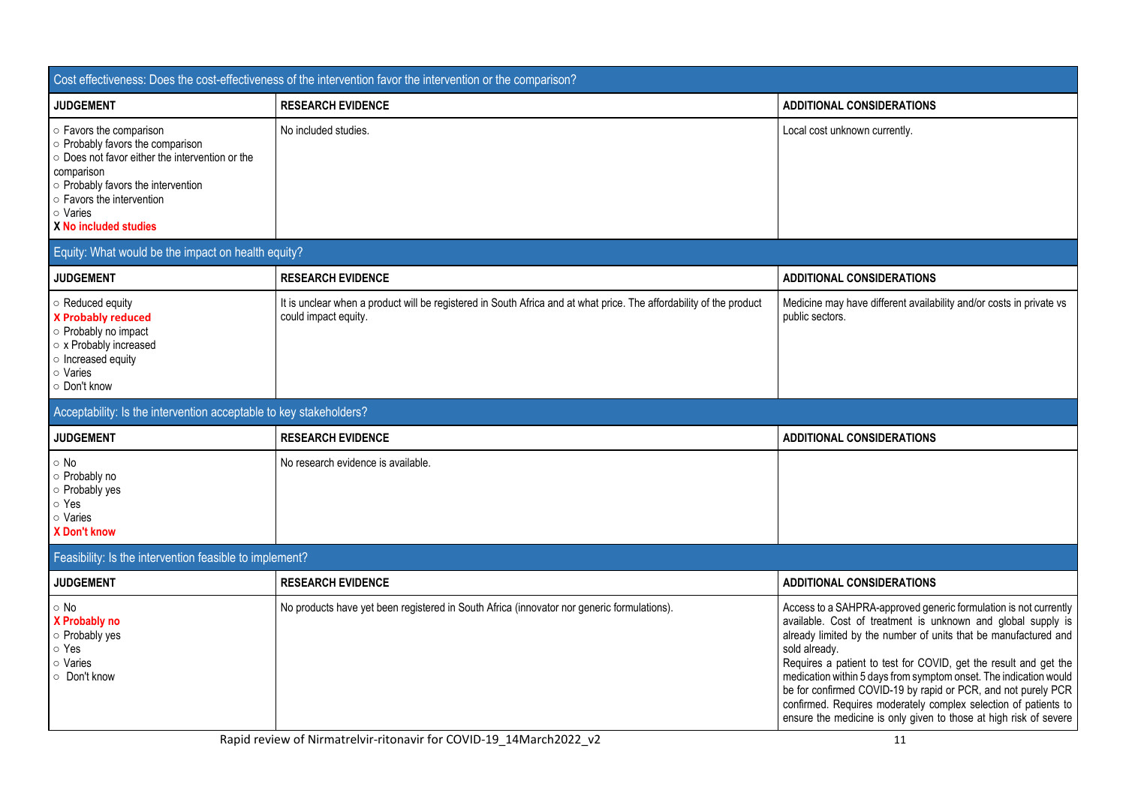|                                                                                                                                                                                                                                      | Cost effectiveness: Does the cost-effectiveness of the intervention favor the intervention or the comparison?                               |                                                                                                                                                                                                                                                                                                                                                                                                                                                                                                                                                                        |
|--------------------------------------------------------------------------------------------------------------------------------------------------------------------------------------------------------------------------------------|---------------------------------------------------------------------------------------------------------------------------------------------|------------------------------------------------------------------------------------------------------------------------------------------------------------------------------------------------------------------------------------------------------------------------------------------------------------------------------------------------------------------------------------------------------------------------------------------------------------------------------------------------------------------------------------------------------------------------|
| <b>JUDGEMENT</b>                                                                                                                                                                                                                     | <b>RESEARCH EVIDENCE</b>                                                                                                                    | <b>ADDITIONAL CONSIDERATIONS</b>                                                                                                                                                                                                                                                                                                                                                                                                                                                                                                                                       |
| o Favors the comparison<br>o Probably favors the comparison<br>o Does not favor either the intervention or the<br>comparison<br>o Probably favors the intervention<br>o Favors the intervention<br>○ Varies<br>X No included studies | No included studies.                                                                                                                        | Local cost unknown currently.                                                                                                                                                                                                                                                                                                                                                                                                                                                                                                                                          |
| Equity: What would be the impact on health equity?                                                                                                                                                                                   |                                                                                                                                             |                                                                                                                                                                                                                                                                                                                                                                                                                                                                                                                                                                        |
| <b>JUDGEMENT</b>                                                                                                                                                                                                                     | <b>RESEARCH EVIDENCE</b>                                                                                                                    | <b>ADDITIONAL CONSIDERATIONS</b>                                                                                                                                                                                                                                                                                                                                                                                                                                                                                                                                       |
| $\circ$ Reduced equity<br><b>X Probably reduced</b><br>o Probably no impact<br>○ x Probably increased<br>o Increased equity<br>○ Varies<br>O Don't know                                                                              | It is unclear when a product will be registered in South Africa and at what price. The affordability of the product<br>could impact equity. | Medicine may have different availability and/or costs in private vs<br>public sectors.                                                                                                                                                                                                                                                                                                                                                                                                                                                                                 |
| Acceptability: Is the intervention acceptable to key stakeholders?                                                                                                                                                                   |                                                                                                                                             |                                                                                                                                                                                                                                                                                                                                                                                                                                                                                                                                                                        |
| <b>JUDGEMENT</b>                                                                                                                                                                                                                     | <b>RESEARCH EVIDENCE</b>                                                                                                                    | <b>ADDITIONAL CONSIDERATIONS</b>                                                                                                                                                                                                                                                                                                                                                                                                                                                                                                                                       |
| $\circ$ No<br>○ Probably no<br>o Probably yes<br>⊙ Yes<br>○ Varies<br><b>X</b> Don't know                                                                                                                                            | No research evidence is available.                                                                                                          |                                                                                                                                                                                                                                                                                                                                                                                                                                                                                                                                                                        |
| Feasibility: Is the intervention feasible to implement?                                                                                                                                                                              |                                                                                                                                             |                                                                                                                                                                                                                                                                                                                                                                                                                                                                                                                                                                        |
| <b>JUDGEMENT</b>                                                                                                                                                                                                                     | <b>RESEARCH EVIDENCE</b>                                                                                                                    | <b>ADDITIONAL CONSIDERATIONS</b>                                                                                                                                                                                                                                                                                                                                                                                                                                                                                                                                       |
| $\circ$ No<br>X Probably no<br>o Probably yes<br>⊙ Yes<br>○ Varies<br>O Don't know                                                                                                                                                   | No products have yet been registered in South Africa (innovator nor generic formulations).                                                  | Access to a SAHPRA-approved generic formulation is not currently<br>available. Cost of treatment is unknown and global supply is<br>already limited by the number of units that be manufactured and<br>sold already.<br>Requires a patient to test for COVID, get the result and get the<br>medication within 5 days from symptom onset. The indication would<br>be for confirmed COVID-19 by rapid or PCR, and not purely PCR<br>confirmed. Requires moderately complex selection of patients to<br>ensure the medicine is only given to those at high risk of severe |